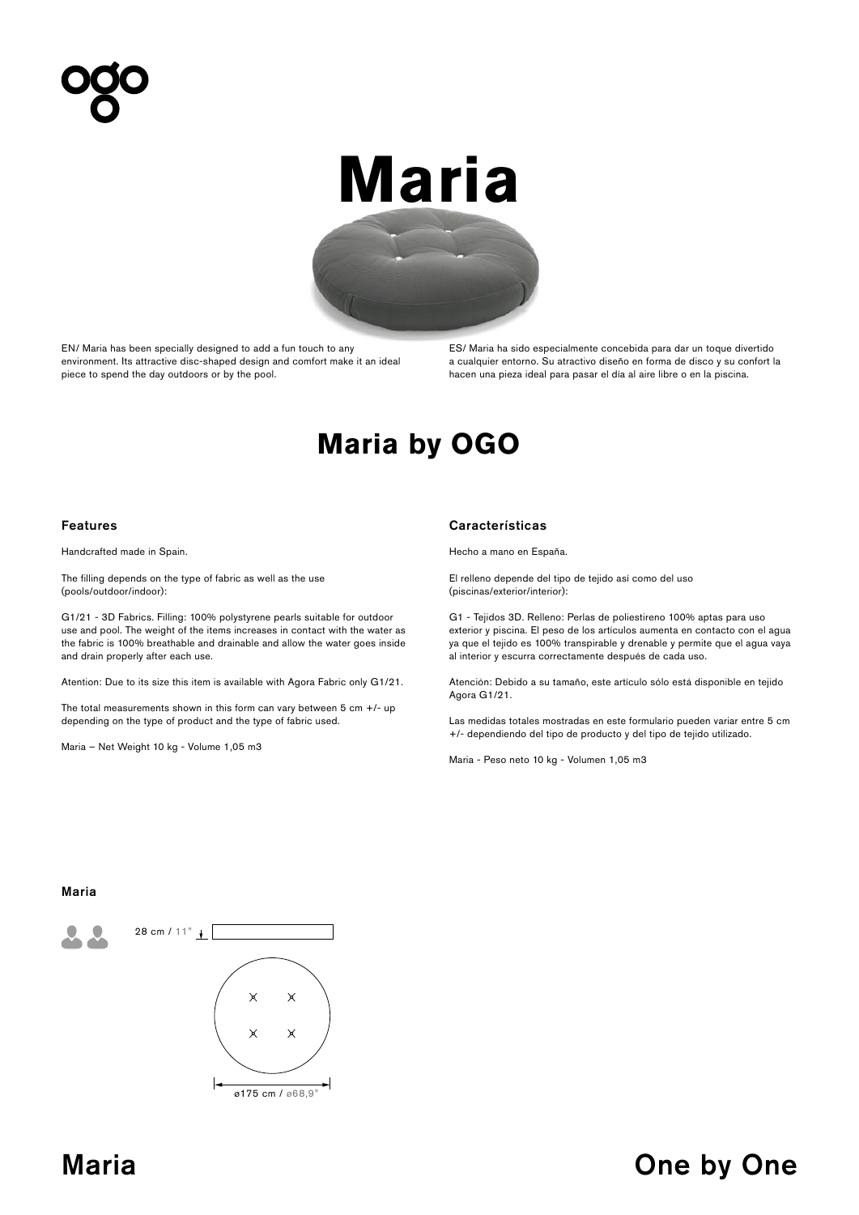# **Maria**



EN/ Maria has been specially designed to add a fun touch to any environment. Its attractive disc-shaped design and comfort make it an ideal piece to spend the day outdoors or by the pool.

ES/ Maria ha sido especialmente concebida para dar un toque divertido a cualquier entorno. Su atractivo diseño en forma de disco y su confort la hacen una pieza ideal para pasar el día al aire libre o en la piscina.

# **Maria by OGO**

Handcrafted made in Spain.

The filling depends on the type of fabric as well as the use (pools/outdoor/indoor):

G1/21 - 3D Fabrics. Filling: 100% polystyrene pearls suitable for outdoor use and pool. The weight of the items increases in contact with the water as the fabric is 100% breathable and drainable and allow the water goes inside and drain properly after each use.

Atention: Due to its size this item is available with Agora Fabric only G1/21.

The total measurements shown in this form can vary between  $5 \text{ cm } +$ /- up depending on the type of product and the type of fabric used.

Maria – Net Weight 10 kg - Volume 1,05 m3

### Features Características

Hecho a mano en España.

El relleno depende del tipo de tejido así como del uso (piscinas/exterior/interior):

G1 - Tejidos 3D. Relleno: Perlas de poliestireno 100% aptas para uso exterior y piscina. El peso de los artículos aumenta en contacto con el agua ya que el tejido es 100% transpirable y drenable y permite que el agua vaya al interior y escurra correctamente después de cada uso.

Atención: Debido a su tamaño, este artículo sólo está disponible en tejido Agora G1/21.

Las medidas totales mostradas en este formulario pueden variar entre 5 cm +/- dependiendo del tipo de producto y del tipo de tejido utilizado.

Maria - Peso neto 10 kg - Volumen 1,05 m3

## Maria



## Maria **Maria Community Community** One by One